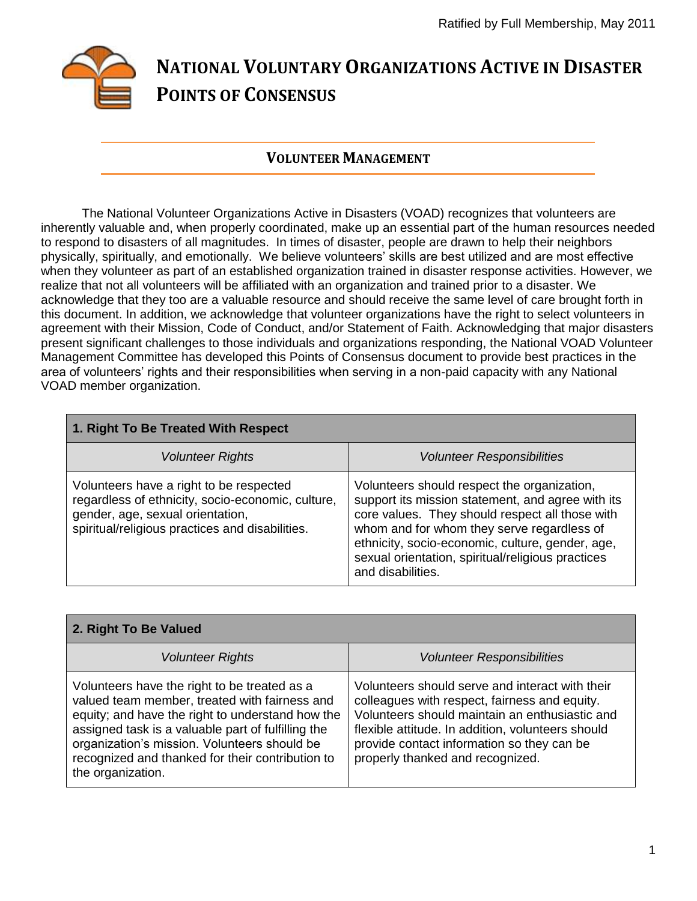

## **VOLUNTEER MANAGEMENT**

The National Volunteer Organizations Active in Disasters (VOAD) recognizes that volunteers are inherently valuable and, when properly coordinated, make up an essential part of the human resources needed to respond to disasters of all magnitudes. In times of disaster, people are drawn to help their neighbors physically, spiritually, and emotionally. We believe volunteers' skills are best utilized and are most effective when they volunteer as part of an established organization trained in disaster response activities. However, we realize that not all volunteers will be affiliated with an organization and trained prior to a disaster. We acknowledge that they too are a valuable resource and should receive the same level of care brought forth in this document. In addition, we acknowledge that volunteer organizations have the right to select volunteers in agreement with their Mission, Code of Conduct, and/or Statement of Faith. Acknowledging that major disasters present significant challenges to those individuals and organizations responding, the National VOAD Volunteer Management Committee has developed this Points of Consensus document to provide best practices in the area of volunteers' rights and their responsibilities when serving in a non-paid capacity with any National VOAD member organization.

| 1. Right To Be Treated With Respect                                                                                                                                                 |                                                                                                                                                                                                                                                                                                                                 |
|-------------------------------------------------------------------------------------------------------------------------------------------------------------------------------------|---------------------------------------------------------------------------------------------------------------------------------------------------------------------------------------------------------------------------------------------------------------------------------------------------------------------------------|
| <b>Volunteer Rights</b>                                                                                                                                                             | <b>Volunteer Responsibilities</b>                                                                                                                                                                                                                                                                                               |
| Volunteers have a right to be respected<br>regardless of ethnicity, socio-economic, culture,<br>gender, age, sexual orientation,<br>spiritual/religious practices and disabilities. | Volunteers should respect the organization,<br>support its mission statement, and agree with its<br>core values. They should respect all those with<br>whom and for whom they serve regardless of<br>ethnicity, socio-economic, culture, gender, age,<br>sexual orientation, spiritual/religious practices<br>and disabilities. |

| 2. Right To Be Valued                                                                                                                                                                                                                                                                                                            |                                                                                                                                                                                                                                                                                           |
|----------------------------------------------------------------------------------------------------------------------------------------------------------------------------------------------------------------------------------------------------------------------------------------------------------------------------------|-------------------------------------------------------------------------------------------------------------------------------------------------------------------------------------------------------------------------------------------------------------------------------------------|
| <b>Volunteer Rights</b>                                                                                                                                                                                                                                                                                                          | <b>Volunteer Responsibilities</b>                                                                                                                                                                                                                                                         |
| Volunteers have the right to be treated as a<br>valued team member, treated with fairness and<br>equity; and have the right to understand how the<br>assigned task is a valuable part of fulfilling the<br>organization's mission. Volunteers should be<br>recognized and thanked for their contribution to<br>the organization. | Volunteers should serve and interact with their<br>colleagues with respect, fairness and equity.<br>Volunteers should maintain an enthusiastic and<br>flexible attitude. In addition, volunteers should<br>provide contact information so they can be<br>properly thanked and recognized. |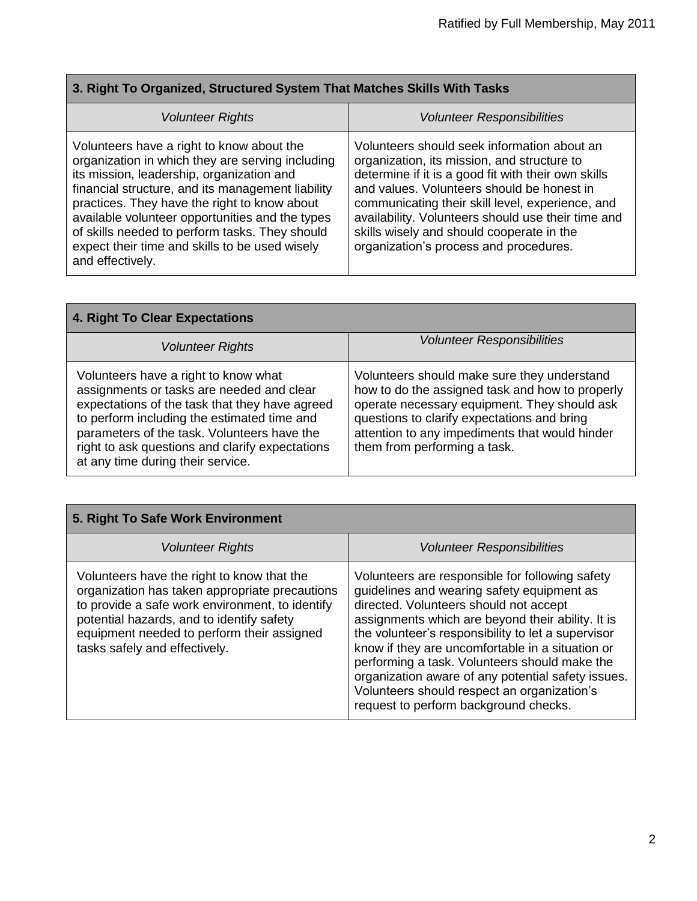Ē.

| 3. Right To Organized, Structured System That Matches Skills With Tasks                                                                                                                                                                                                                                                                                                                                                    |                                                                                                                                                                                                                                                                                                                                                                                                  |
|----------------------------------------------------------------------------------------------------------------------------------------------------------------------------------------------------------------------------------------------------------------------------------------------------------------------------------------------------------------------------------------------------------------------------|--------------------------------------------------------------------------------------------------------------------------------------------------------------------------------------------------------------------------------------------------------------------------------------------------------------------------------------------------------------------------------------------------|
| <b>Volunteer Rights</b>                                                                                                                                                                                                                                                                                                                                                                                                    | <b>Volunteer Responsibilities</b>                                                                                                                                                                                                                                                                                                                                                                |
| Volunteers have a right to know about the<br>organization in which they are serving including<br>its mission, leadership, organization and<br>financial structure, and its management liability<br>practices. They have the right to know about<br>available volunteer opportunities and the types<br>of skills needed to perform tasks. They should<br>expect their time and skills to be used wisely<br>and effectively. | Volunteers should seek information about an<br>organization, its mission, and structure to<br>determine if it is a good fit with their own skills<br>and values. Volunteers should be honest in<br>communicating their skill level, experience, and<br>availability. Volunteers should use their time and<br>skills wisely and should cooperate in the<br>organization's process and procedures. |

п

| 4. Right To Clear Expectations                                                                                                                                                                                                                                                                                            |                                                                                                                                                                                                                                                                                 |
|---------------------------------------------------------------------------------------------------------------------------------------------------------------------------------------------------------------------------------------------------------------------------------------------------------------------------|---------------------------------------------------------------------------------------------------------------------------------------------------------------------------------------------------------------------------------------------------------------------------------|
| Volunteer Rights                                                                                                                                                                                                                                                                                                          | <b>Volunteer Responsibilities</b>                                                                                                                                                                                                                                               |
| Volunteers have a right to know what<br>assignments or tasks are needed and clear<br>expectations of the task that they have agreed<br>to perform including the estimated time and<br>parameters of the task. Volunteers have the<br>right to ask questions and clarify expectations<br>at any time during their service. | Volunteers should make sure they understand<br>how to do the assigned task and how to properly<br>operate necessary equipment. They should ask<br>questions to clarify expectations and bring<br>attention to any impediments that would hinder<br>them from performing a task. |

| 5. Right To Safe Work Environment                                                                                                                                                                                                                                           |                                                                                                                                                                                                                                                                                                                                                                                                                                                                                                       |
|-----------------------------------------------------------------------------------------------------------------------------------------------------------------------------------------------------------------------------------------------------------------------------|-------------------------------------------------------------------------------------------------------------------------------------------------------------------------------------------------------------------------------------------------------------------------------------------------------------------------------------------------------------------------------------------------------------------------------------------------------------------------------------------------------|
| <b>Volunteer Rights</b>                                                                                                                                                                                                                                                     | <b>Volunteer Responsibilities</b>                                                                                                                                                                                                                                                                                                                                                                                                                                                                     |
| Volunteers have the right to know that the<br>organization has taken appropriate precautions<br>to provide a safe work environment, to identify<br>potential hazards, and to identify safety<br>equipment needed to perform their assigned<br>tasks safely and effectively. | Volunteers are responsible for following safety<br>guidelines and wearing safety equipment as<br>directed. Volunteers should not accept<br>assignments which are beyond their ability. It is<br>the volunteer's responsibility to let a supervisor<br>know if they are uncomfortable in a situation or<br>performing a task. Volunteers should make the<br>organization aware of any potential safety issues.<br>Volunteers should respect an organization's<br>request to perform background checks. |